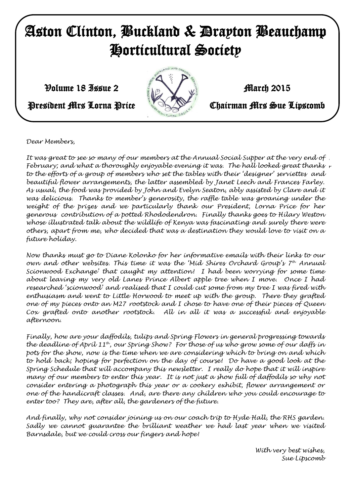# Aston Clinton, Buckland & Drayton Beauchamp Horticultural Society

 $\mathcal{V}$ olume 18 Issue 2 March 2015



President Mrs Lorna Price **Chairman Mrs Sue Lipscomb** 

*Dear Members,*

*With very best wishes, It was great to see so many of our members at the Annual Social Supper at the very end of Sue Lipscomb February; and what a thoroughly enjoyable evening it was. The hall looked great thanks to the efforts of a group of members who set the tables with their 'designer' serviettes and beautiful flower arrangements, the latter assembled by Janet Leech and Frances Farley. As usual, the food was provided by John and Evelyn Seaton, ably assisted by Clare and it was delicious. Thanks to member's generosity, the raffle table was groaning under the*  weight of the prizes and we particularly thank our President, Lorna Price for her *generous contribution of a potted Rhododendron. Finally thanks goes to Hilary Weston whose illustrated talk about the wildlife of Kenya was fascinating and surely there were others, apart from me, who decided that was a destination they would love to visit on a future holiday.*

*Now thanks must go to Diane Kolonko for her informative emails with their links to our own and other websites. This time it was the 'Mid Shires Orchard Group's 7th Annual Scionwood Exchange' that caught my attention! I had been worrying for some time about leaving my very old Lanes Prince Albert apple tree when I move. Once I had researched 'scionwood' and realised that I could cut some from my tree I was fired with enthusiasm and went to Little Horwood to meet up with the group. There they grafted one of my pieces onto an M27 rootstock and I chose to have one of their pieces of Queen Cox grafted onto another rootstock. All in all it was a successful and enjoyable afternoon.*

*Finally, how are your daffodils, tulips and Spring Flowers in general progressing towards the deadline of April 11th, our Spring Show? For those of us who grow some of our daffs in pots for the show, now is the time when we are considering which to bring on and which to hold back; hoping for perfection on the day of course! Do have a good look at the Spring Schedule that will accompany this newsletter. I really do hope that it will inspire many of our members to enter this year. It is not just a show full of daffodils so why not consider entering a photograph this year or a cookery exhibit, flower arrangement or one of the handicraft classes. And, are there any children who you could encourage to enter too? They are, after all, the gardeners of the future.*

*And finally, why not consider joining us on our coach trip to Hyde Hall, the RHS garden. Sadly we cannot guarantee the brilliant weather we had last year when we visited Barnsdale, but we could cross our fingers and hope!*

> *With very best wishes, Sue Lipscomb*